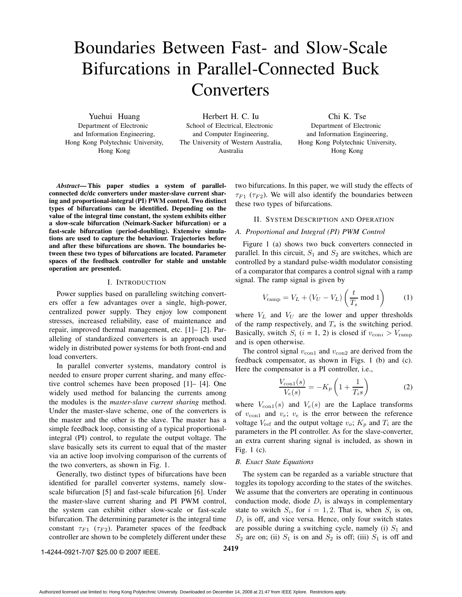# Boundaries Between Fast- and Slow-Scale Bifurcations in Parallel-Connected Buck **Converters**

Yuehui Huang Department of Electronic and Information Engineering, Hong Kong Polytechnic University, Hong Kong

Herbert H. C. Iu School of Electrical, Electronic and Computer Engineering, The University of Western Australia, Australia

Chi K. Tse Department of Electronic and Information Engineering, Hong Kong Polytechnic University, Hong Kong

*Abstract***— This paper studies a system of parallelconnected dc/dc converters under master-slave current sharing and proportional-integral (PI) PWM control. Two distinct types of bifurcations can be identified. Depending on the value of the integral time constant, the system exhibits either a slow-scale bifurcation (Neimark-Sacker bifurcation) or a fast-scale bifurcation (period-doubling). Extensive simulations are used to capture the behaviour. Trajectories before and after these bifurcations are shown. The boundaries between these two types of bifurcations are located. Parameter spaces of the feedback controller for stable and unstable operation are presented.**

## I. INTRODUCTION

Power supplies based on paralleling switching converters offer a few advantages over a single, high-power, centralized power supply. They enjoy low component stresses, increased reliability, ease of maintenance and repair, improved thermal management, etc. [1]– [2]. Paralleling of standardized converters is an approach used widely in distributed power systems for both front-end and load converters.

In parallel converter systems, mandatory control is needed to ensure proper current sharing, and many effective control schemes have been proposed [1]– [4]. One widely used method for balancing the currents among the modules is the *master-slave current sharing* method. Under the master-slave scheme, one of the converters is the master and the other is the slave. The master has a simple feedback loop, consisting of a typical proportionalintegral (PI) control, to regulate the output voltage. The slave basically sets its current to equal that of the master via an active loop involving comparison of the currents of the two converters, as shown in Fig. 1.

Generally, two distinct types of bifurcations have been identified for parallel converter systems, namely slowscale bifurcation [5] and fast-scale bifurcation [6]. Under the master-slave current sharing and PI PWM control, the system can exhibit either slow-scale or fast-scale bifurcation. The determining parameter is the integral time constant  $\tau_{F1}$  ( $\tau_{F2}$ ). Parameter spaces of the feedback controller are shown to be completely different under these two bifurcations. In this paper, we will study the effects of  $\tau_{F1}$  ( $\tau_{F2}$ ). We will also identify the boundaries between these two types of bifurcations.

## II. SYSTEM DESCRIPTION AND OPERATION

## *A. Proportional and Integral (PI) PWM Control*

Figure 1 (a) shows two buck converters connected in parallel. In this circuit,  $S_1$  and  $S_2$  are switches, which are controlled by a standard pulse-width modulator consisting of a comparator that compares a control signal with a ramp signal. The ramp signal is given by

$$
V_{\text{ramp}} = V_L + (V_U - V_L) \left(\frac{t}{T_s} \text{ mod } 1\right) \tag{1}
$$

where  $V_L$  and  $V_U$  are the lower and upper thresholds of the ramp respectively, and  $T_s$  is the switching period. Basically, switch  $S_i$  (*i* = 1, 2) is closed if  $v_{\text{coni}} > V_{\text{ramp}}$ and is open otherwise.

The control signal  $v_{\text{con1}}$  and  $v_{\text{con2}}$  are derived from the feedback compensator, as shown in Figs. 1 (b) and (c). Here the compensator is a PI controller, i.e.,

$$
\frac{V_{\text{con1}}(s)}{V_e(s)} = -K_p \left(1 + \frac{1}{T_i s}\right) \tag{2}
$$

where  $V_{\text{con1}}(s)$  and  $V_e(s)$  are the Laplace transforms of  $v_{\text{con1}}$  and  $v_e$ ;  $v_e$  is the error between the reference voltage  $V_{ref}$  and the output voltage  $v_o$ ;  $K_p$  and  $T_i$  are the parameters in the PI controller. As for the slave-converter, an extra current sharing signal is included, as shown in Fig. 1 (c).

#### *B. Exact State Equations*

The system can be regarded as a variable structure that toggles its topology according to the states of the switches. We assume that the converters are operating in continuous conduction mode, diode  $D_i$  is always in complementary state to switch  $S_i$ , for  $i = 1, 2$ . That is, when  $S_i$  is on,  $D_i$  is off, and vice versa. Hence, only four switch states are possible during a switching cycle, namely (i)  $S_1$  and  $S_2$  are on; (ii)  $S_1$  is on and  $S_2$  is off; (iii)  $S_1$  is off and

**2419** 1-4244-0921-7/07 \$25.00 © 2007 IEEE.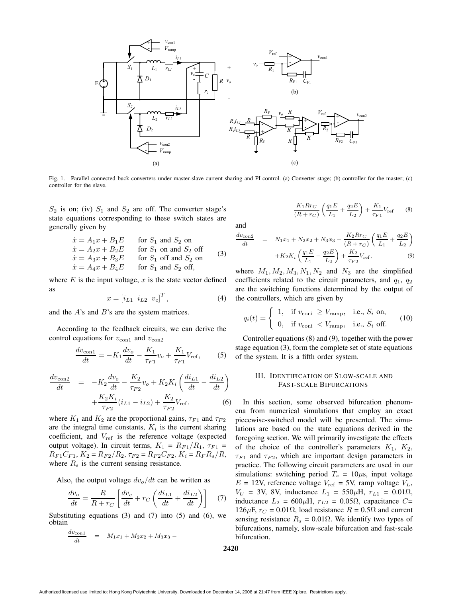

Fig. 1. Parallel connected buck converters under master-slave current sharing and PI control. (a) Converter stage; (b) controller for the master; (c) controller for the slave.

 $S_2$  is on; (iv)  $S_1$  and  $S_2$  are off. The converter stage's state equations corresponding to these switch states are generally given by

$$
\begin{aligned}\n\dot{x} &= A_1 x + B_1 E & \text{for } S_1 \text{ and } S_2 \text{ on} \\
\dot{x} &= A_2 x + B_2 E & \text{for } S_1 \text{ on and } S_2 \text{ off} \\
\dot{x} &= A_3 x + B_3 E & \text{for } S_1 \text{ off and } S_2 \text{ on} \\
\dot{x} &= A_4 x + B_4 E & \text{for } S_1 \text{ and } S_2 \text{ off},\n\end{aligned}
$$
\n(3)

where  $E$  is the input voltage,  $x$  is the state vector defined as

$$
x = [i_{L1} \ \ i_{L2} \ \ v_c]^T, \tag{4}
$$

and the A's and B's are the system matrices.

According to the feedback circuits, we can derive the control equations for  $v_{\text{con1}}$  and  $v_{\text{con2}}$ 

$$
\frac{dv_{\text{con1}}}{dt} = -K_1 \frac{dv_o}{dt} - \frac{K_1}{\tau_{F1}} v_o + \frac{K_1}{\tau_{F1}} V_{\text{ref}},\tag{5}
$$

$$
\frac{dv_{\text{con2}}}{dt} = -K_2 \frac{dv_o}{dt} - \frac{K_2}{\tau_{F2}} v_o + K_2 K_i \left(\frac{di_{L1}}{dt} - \frac{di_{L2}}{dt}\right) + \frac{K_2 K_i}{\tau_{F2}} (i_{L1} - i_{L2}) + \frac{K_2}{\tau_{F2}} V_{\text{ref}}.
$$
\n(6)

where  $K_1$  and  $K_2$  are the proportional gains,  $\tau_{F1}$  and  $\tau_{F2}$ are the integral time constants,  $K_i$  is the current sharing coefficient, and  $V_{ref}$  is the reference voltage (expected output voltage). In circuit terms,  $K_1 = R_{F1}/R_1$ ,  $\tau_{F1} =$  $R_{F1}C_{F1}$ ,  $K_2 = R_{F2}/R_2$ ,  $\tau_{F2} = R_{F2}C_{F2}$ ,  $K_i = R_F R_s/R$ , where  $R_s$  is the current sensing resistance.

Also, the output voltage  $dv_{o}/dt$  can be written as

$$
\frac{dv_o}{dt} = \frac{R}{R + r_C} \left[ \frac{dv_c}{dt} + r_C \left( \frac{di_{L1}}{dt} + \frac{di_{L2}}{dt} \right) \right]
$$
(7)

Substituting equations  $(3)$  and  $(7)$  into  $(5)$  and  $(6)$ , we obtain

$$
\frac{dv_{\rm con1}}{dt} = M_1x_1 + M_2x_2 + M_3x_3 -
$$

$$
\frac{K_1 R r_C}{(R + r_C)} \left( \frac{q_1 E}{L_1} + \frac{q_2 E}{L_2} \right) + \frac{K_1}{\tau_{F1}} V_{\text{ref}} \tag{8}
$$

and

$$
\frac{dv_{\text{con2}}}{dt} = N_1 x_1 + N_2 x_2 + N_3 x_3 - \frac{K_2 R r_C}{(R + r_C)} \left(\frac{q_1 E}{L_1} + \frac{q_2 E}{L_2}\right) + K_2 K_i \left(\frac{q_1 E}{L_1} - \frac{q_2 E}{L_2}\right) + \frac{K_2}{\tau_{F2}} V_{\text{ref}},
$$
\n(9)

where  $M_1, M_2, M_3, N_1, N_2$  and  $N_3$  are the simplified coefficients related to the circuit parameters, and  $q_1$ ,  $q_2$ are the switching functions determined by the output of the controllers, which are given by

$$
q_i(t) = \begin{cases} 1, & \text{if } v_{\text{coni}} \ge V_{\text{ramp}}, \text{ i.e., } S_i \text{ on,} \\ 0, & \text{if } v_{\text{coni}} < V_{\text{ramp}}, \text{ i.e., } S_i \text{ off.} \end{cases}
$$
 (10)

Controller equations (8) and (9), together with the power stage equation (3), form the complete set of state equations of the system. It is a fifth order system.

# III. IDENTIFICATION OF SLOW-SCALE AND FAST-SCALE BIFURCATIONS

In this section, some observed bifurcation phenomena from numerical simulations that employ an exact piecewise-switched model will be presented. The simulations are based on the state equations derived in the foregoing section. We will primarily investigate the effects of the choice of the controller's parameters  $K_1$ ,  $K_2$ ,  $\tau_{F1}$  and  $\tau_{F2}$ , which are important design parameters in practice. The following circuit parameters are used in our simulations: switching period  $T_s = 10 \mu s$ , input voltage  $E = 12V$ , reference voltage  $V_{\text{ref}} = 5V$ , ramp voltage  $V_L$ ,  $V_U$  = 3V, 8V, inductance  $L_1$  = 550 $\mu$ H,  $r_{L1}$  = 0.01 $\Omega$ , inductance  $L_2$  = 600μH,  $r_{L2}$  = 0.05Ω, capacitance C= 126μF,  $r_C$  = 0.01Ω, load resistance  $R = 0.5Ω$  and current sensing resistance  $R_s = 0.01\Omega$ . We identify two types of bifurcations, namely, slow-scale bifurcation and fast-scale bifurcation.

**2420**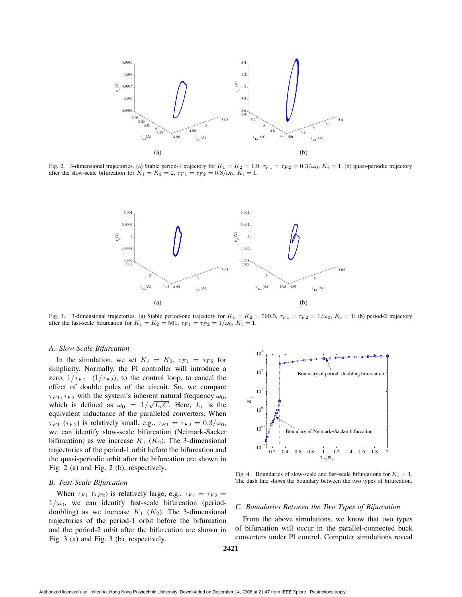

Fig. 2. 3-dimensional trajectories. (a) Stable period-1 trajectory for  $K_1 = K_2 = 1.9$ ,  $\tau_{F1} = \tau_{F2} = 0.3/\omega_0$ ,  $K_i = 1$ ; (b) quasi-periodic trajectory after the slow-scale bifurcation for  $K_1 = K_2 = 2$ ,  $\tau_{F1} = \tau_{F2} = 0.3/\omega_0$ ,  $K_i = 1$ .



Fig. 3. 3-dimensional trajectories. (a) Stable period-one trajectory for  $K_1 = K_2 = 560.5$ ,  $\tau_{F1} = \tau_{F2} = 1/\omega_0$ ,  $K_i = 1$ ; (b) period-2 trajectory after the fast-scale bifurcation for  $K_1 = K_2 = 561$ ,  $\tau_{F1} = \tau_{F2} = 1/\omega_0$ ,  $K_i = 1$ .

## *A. Slow-Scale Bifurcation*

In the simulation, we set  $K_1 = K_2$ ,  $\tau_{F1} = \tau_{F2}$  for simplicity. Normally, the PI controller will introduce a zero,  $1/\tau_{F1}$  ( $1/\tau_{F2}$ ), to the control loop, to cancel the effect of double poles of the circuit. So, we compare  $\tau_{F1}, \tau_{F2}$  with the system's inherent natural frequency  $\omega_0$ , which is defined as  $\omega_0 = 1/\sqrt{L_eC}$ . Here,  $L_e$  is the equivalent inductance of the paralleled converters. When  $\tau_{F1}$  ( $\tau_{F2}$ ) is relatively small, e.g.,  $\tau_{F1} = \tau_{F2} = 0.3/\omega_0$ , we can identify slow-scale bifurcation (Neimark-Sacker bifurcation) as we increase  $K_1$  ( $K_2$ ). The 3-dimensional trajectories of the period-1 orbit before the bifurcation and the quasi-periodic orbit after the bifurcation are shown in Fig. 2 (a) and Fig. 2 (b), respectively.

#### *B. Fast-Scale Bifurcation*

When  $\tau_{F1}$  ( $\tau_{F2}$ ) is relatively large, e.g.,  $\tau_{F1} = \tau_{F2}$  $1/\omega_0$ , we can identify fast-scale bifurcation (perioddoubling) as we increase  $K_1$  ( $K_2$ ). The 3-dimensional trajectories of the period-1 orbit before the bifurcation and the period-2 orbit after the bifurcation are shown in Fig. 3 (a) and Fig. 3 (b), respectively.



Fig. 4. Boundaries of slow-scale and fast-scale bifurcations for  $K_i = 1$ . The dash line shows the boundary between the two types of bifurcation.

#### *C. Boundaries Between the Two Types of Bifurcation*

From the above simulations, we know that two types of bifurcation will occur in the parallel-connected buck converters under PI control. Computer simulations reveal

**2421**